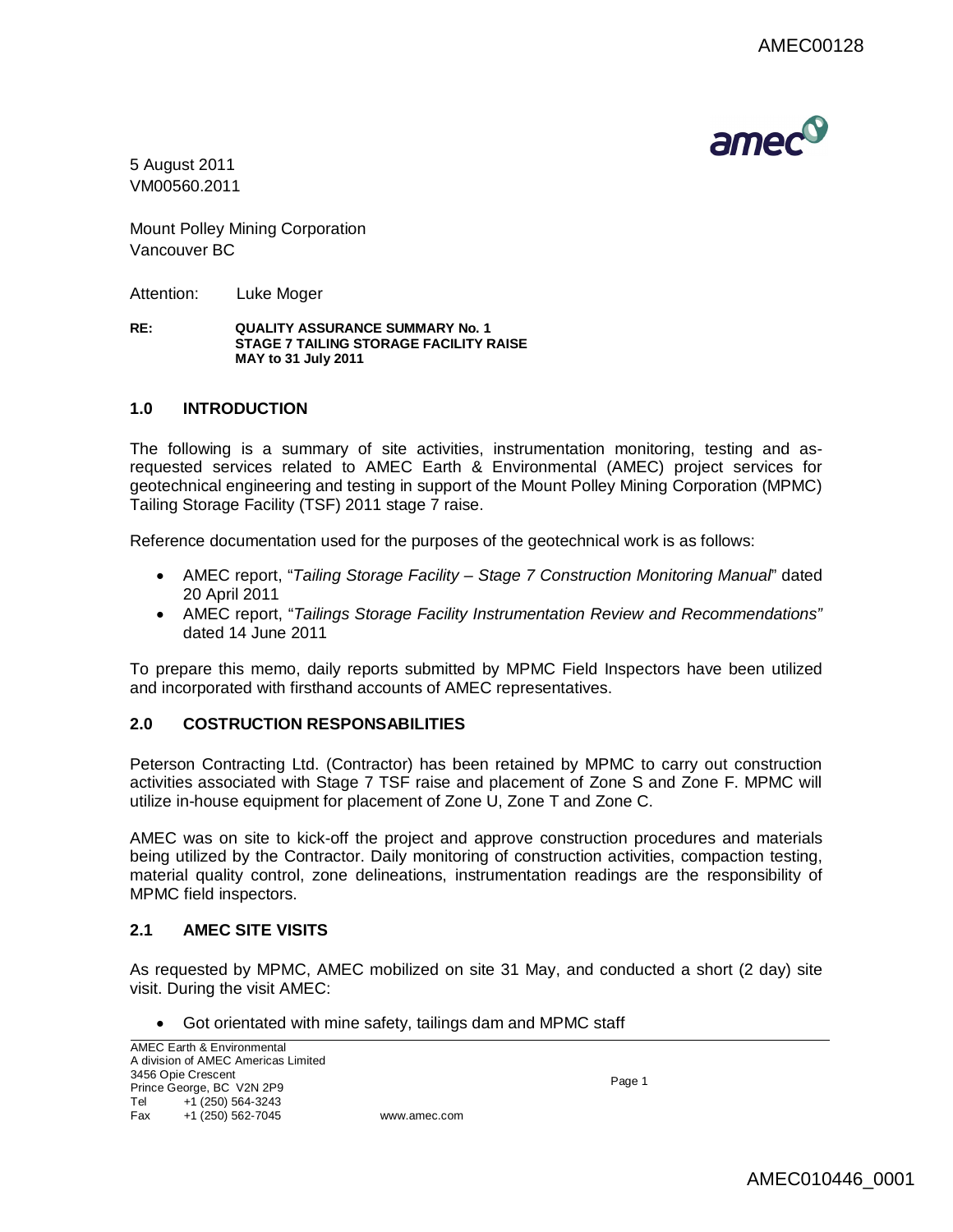

5 August 2011 VM00560.2011

Mount Polley Mining Corporation Vancouver BC

Attention: Luke Moger

**RE: QUALITY ASSURANCE SUMMARY No. 1 STAGE 7 TAILING STORAGE FACILITY RAISE MAY to 31 July 2011**

# **1.0 INTRODUCTION**

The following is a summary of site activities, instrumentation monitoring, testing and asrequested services related to AMEC Earth & Environmental (AMEC) project services for geotechnical engineering and testing in support of the Mount Polley Mining Corporation (MPMC) Tailing Storage Facility (TSF) 2011 stage 7 raise.

Reference documentation used for the purposes of the geotechnical work is as follows:

- AMEC report, "*Tailing Storage Facility – Stage 7 Construction Monitoring Manual*" dated 20 April 2011
- AMEC report, "*Tailings Storage Facility Instrumentation Review and Recommendations"*  dated 14 June 2011

To prepare this memo, daily reports submitted by MPMC Field Inspectors have been utilized and incorporated with firsthand accounts of AMEC representatives.

# **2.0 COSTRUCTION RESPONSABILITIES**

Peterson Contracting Ltd. (Contractor) has been retained by MPMC to carry out construction activities associated with Stage 7 TSF raise and placement of Zone S and Zone F. MPMC will utilize in-house equipment for placement of Zone U, Zone T and Zone C.

AMEC was on site to kick-off the project and approve construction procedures and materials being utilized by the Contractor. Daily monitoring of construction activities, compaction testing, material quality control, zone delineations, instrumentation readings are the responsibility of MPMC field inspectors.

# **2.1 AMEC SITE VISITS**

As requested by MPMC, AMEC mobilized on site 31 May, and conducted a short (2 day) site visit. During the visit AMEC:

Got orientated with mine safety, tailings dam and MPMC staff

Page 1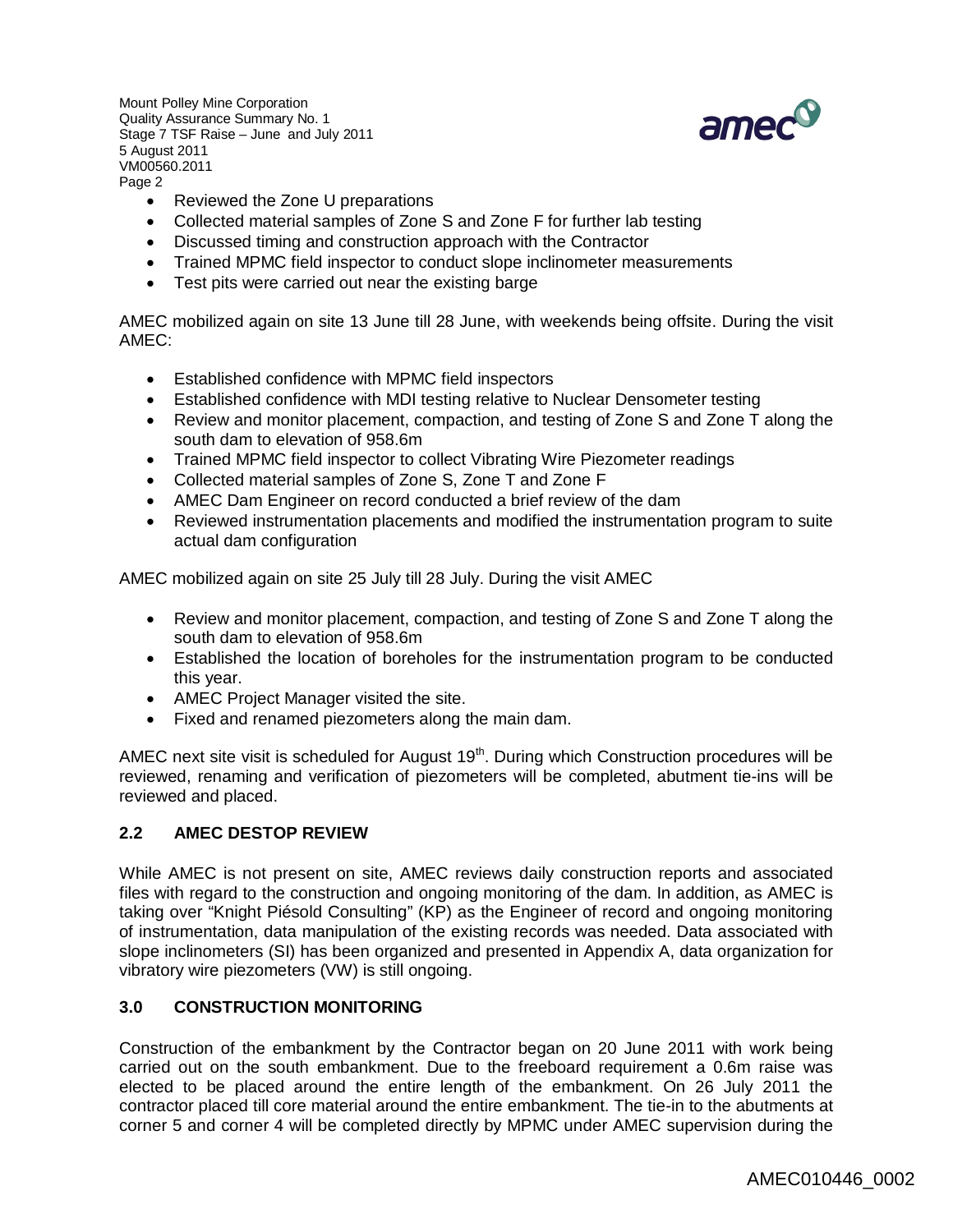

- Reviewed the Zone U preparations
- Collected material samples of Zone S and Zone F for further lab testing
- Discussed timing and construction approach with the Contractor
- Trained MPMC field inspector to conduct slope inclinometer measurements
- Test pits were carried out near the existing barge

AMEC mobilized again on site 13 June till 28 June, with weekends being offsite. During the visit AMEC:

- Established confidence with MPMC field inspectors
- Established confidence with MDI testing relative to Nuclear Densometer testing
- Review and monitor placement, compaction, and testing of Zone S and Zone T along the south dam to elevation of 958.6m
- Trained MPMC field inspector to collect Vibrating Wire Piezometer readings
- Collected material samples of Zone S, Zone T and Zone F
- AMEC Dam Engineer on record conducted a brief review of the dam
- Reviewed instrumentation placements and modified the instrumentation program to suite actual dam configuration

AMEC mobilized again on site 25 July till 28 July. During the visit AMEC

- Review and monitor placement, compaction, and testing of Zone S and Zone T along the south dam to elevation of 958.6m
- Established the location of boreholes for the instrumentation program to be conducted this year.
- AMEC Project Manager visited the site.
- Fixed and renamed piezometers along the main dam.

AMEC next site visit is scheduled for August  $19<sup>th</sup>$ . During which Construction procedures will be reviewed, renaming and verification of piezometers will be completed, abutment tie-ins will be reviewed and placed.

# **2.2 AMEC DESTOP REVIEW**

While AMEC is not present on site, AMEC reviews daily construction reports and associated files with regard to the construction and ongoing monitoring of the dam. In addition, as AMEC is taking over "Knight Piésold Consulting" (KP) as the Engineer of record and ongoing monitoring of instrumentation, data manipulation of the existing records was needed. Data associated with slope inclinometers (SI) has been organized and presented in Appendix A, data organization for vibratory wire piezometers (VW) is still ongoing.

# **3.0 CONSTRUCTION MONITORING**

Construction of the embankment by the Contractor began on 20 June 2011 with work being carried out on the south embankment. Due to the freeboard requirement a 0.6m raise was elected to be placed around the entire length of the embankment. On 26 July 2011 the contractor placed till core material around the entire embankment. The tie-in to the abutments at corner 5 and corner 4 will be completed directly by MPMC under AMEC supervision during the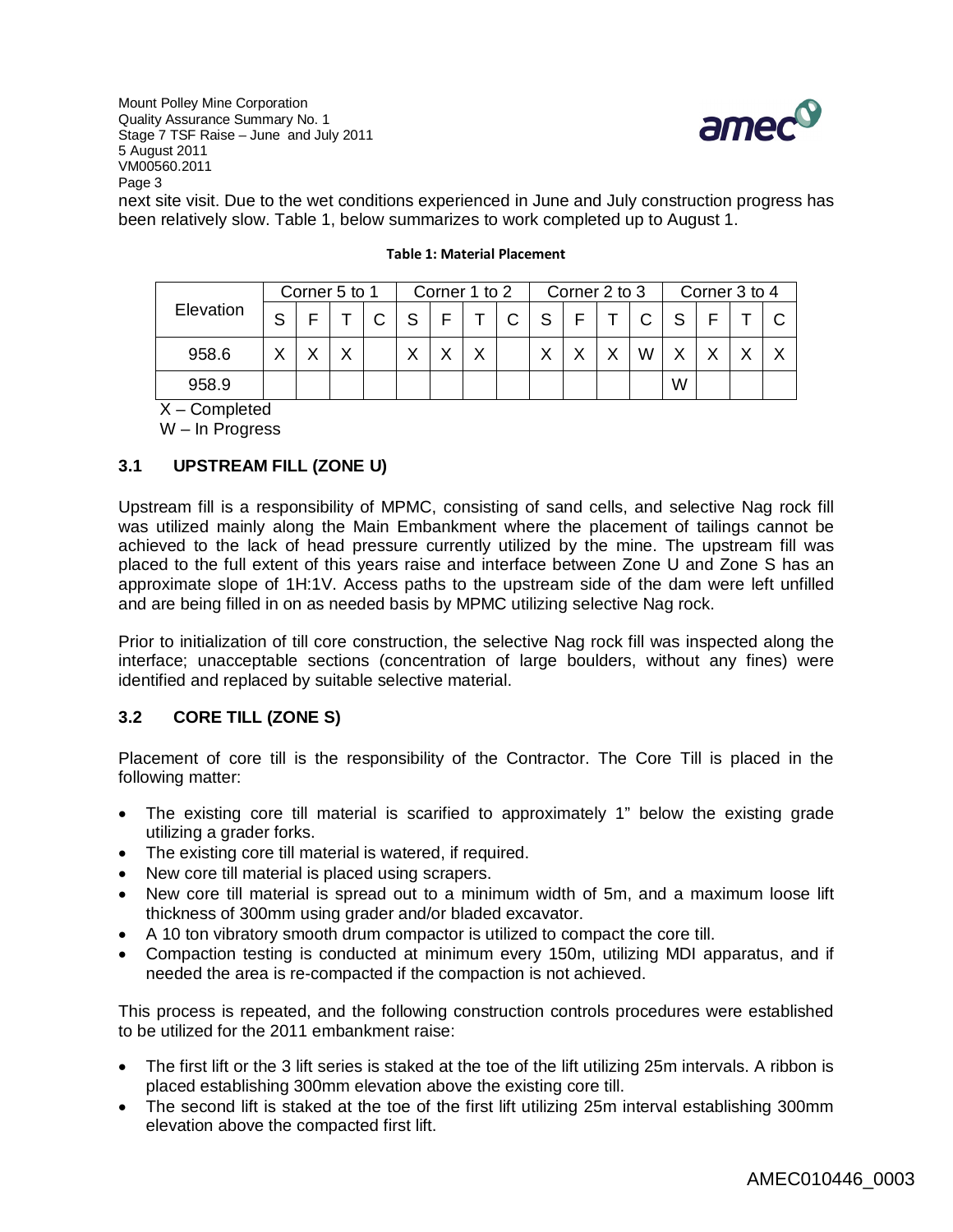

next site visit. Due to the wet conditions experienced in June and July construction progress has been relatively slow. Table 1, below summarizes to work completed up to August 1.

|           | Corner 5 to 1 |   |   |  | Corner 1 to 2 |  |   |              | Corner 2 to 3 |   |  |  | Corner 3 to 4 |  |  |  |
|-----------|---------------|---|---|--|---------------|--|---|--------------|---------------|---|--|--|---------------|--|--|--|
| Elevation | S             |   |   |  | S             |  |   | $\mathsf{C}$ | - S           | F |  |  |               |  |  |  |
| 958.6     | $\checkmark$  | v | v |  |               |  | ◡ |              | $\checkmark$  |   |  |  |               |  |  |  |
| 958.9     |               |   |   |  |               |  |   |              |               |   |  |  | W             |  |  |  |

### **Table 1: Material Placement**

X – Completed

W – In Progress

# **3.1 UPSTREAM FILL (ZONE U)**

Upstream fill is a responsibility of MPMC, consisting of sand cells, and selective Nag rock fill was utilized mainly along the Main Embankment where the placement of tailings cannot be achieved to the lack of head pressure currently utilized by the mine. The upstream fill was placed to the full extent of this years raise and interface between Zone U and Zone S has an approximate slope of 1H:1V. Access paths to the upstream side of the dam were left unfilled and are being filled in on as needed basis by MPMC utilizing selective Nag rock.

Prior to initialization of till core construction, the selective Nag rock fill was inspected along the interface; unacceptable sections (concentration of large boulders, without any fines) were identified and replaced by suitable selective material.

# **3.2 CORE TILL (ZONE S)**

Placement of core till is the responsibility of the Contractor. The Core Till is placed in the following matter:

- The existing core till material is scarified to approximately 1" below the existing grade utilizing a grader forks.
- The existing core till material is watered, if required.
- New core till material is placed using scrapers.
- New core till material is spread out to a minimum width of 5m, and a maximum loose lift thickness of 300mm using grader and/or bladed excavator.
- A 10 ton vibratory smooth drum compactor is utilized to compact the core till.
- Compaction testing is conducted at minimum every 150m, utilizing MDI apparatus, and if needed the area is re-compacted if the compaction is not achieved.

This process is repeated, and the following construction controls procedures were established to be utilized for the 2011 embankment raise:

- The first lift or the 3 lift series is staked at the toe of the lift utilizing 25m intervals. A ribbon is placed establishing 300mm elevation above the existing core till.
- The second lift is staked at the toe of the first lift utilizing 25m interval establishing 300mm elevation above the compacted first lift.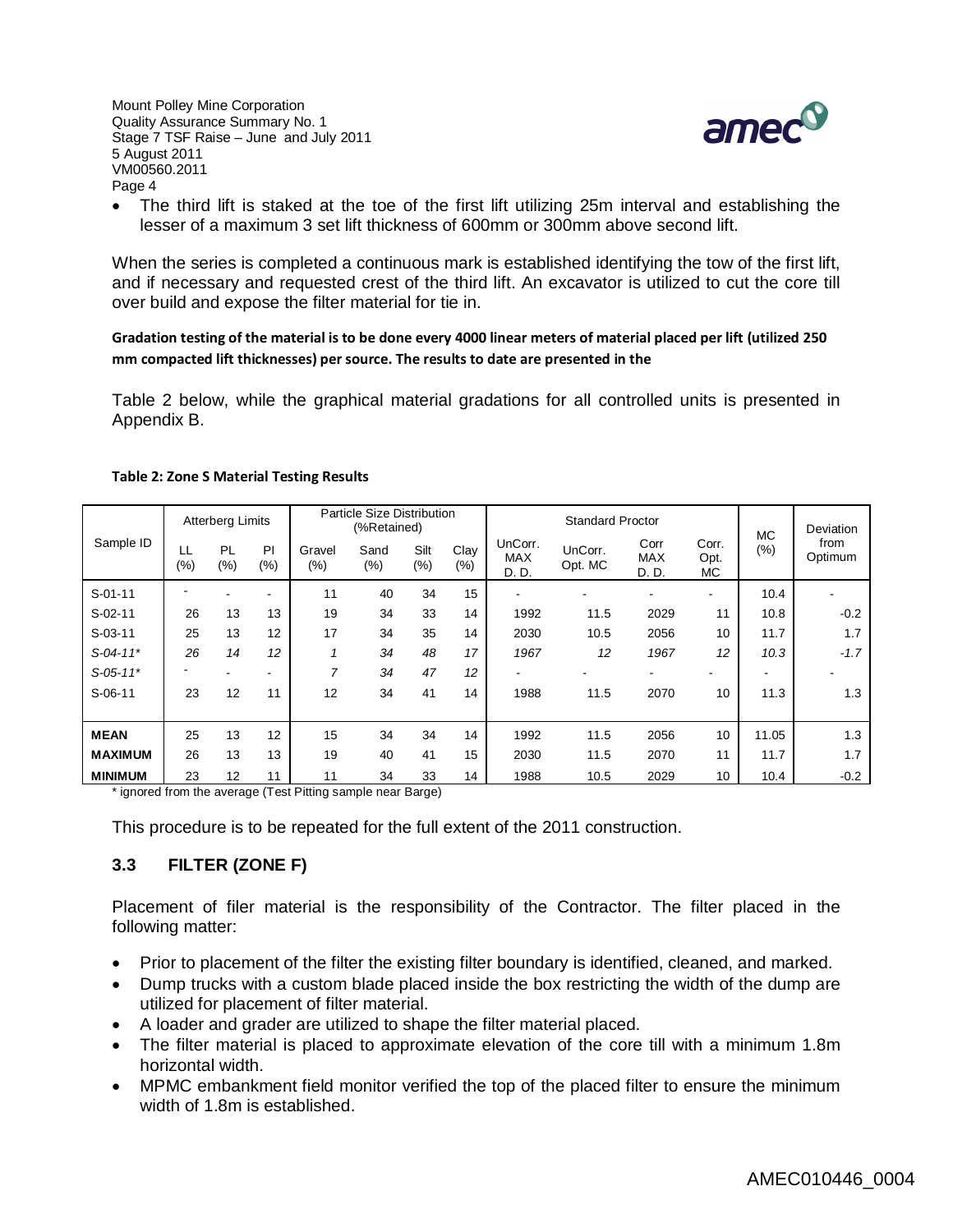

 The third lift is staked at the toe of the first lift utilizing 25m interval and establishing the lesser of a maximum 3 set lift thickness of 600mm or 300mm above second lift.

When the series is completed a continuous mark is established identifying the tow of the first lift, and if necessary and requested crest of the third lift. An excavator is utilized to cut the core till over build and expose the filter material for tie in.

**Gradation testing of the material is to be done every 4000 linear meters of material placed per lift (utilized 250 mm compacted lift thicknesses) per source. The results to date are presented in the** 

Table 2 below, while the graphical material gradations for all controlled units is presented in Appendix B.

| Sample ID                         |           | <b>Atterberg Limits</b> |                                |               | Particle Size Distribution<br>(%Retained) |                |             |                                | <b>Standard Proctor</b> | <b>MC</b>                   | Deviation                |        |                 |
|-----------------------------------|-----------|-------------------------|--------------------------------|---------------|-------------------------------------------|----------------|-------------|--------------------------------|-------------------------|-----------------------------|--------------------------|--------|-----------------|
|                                   | LL<br>(%) | PL<br>$(\%)$            | PI<br>(% )                     | Gravel<br>(%) | Sand<br>$(\% )$                           | Silt<br>$(\%)$ | Clay<br>(%) | UnCorr.<br><b>MAX</b><br>D. D. | UnCorr.<br>Opt. MC      | Corr<br><b>MAX</b><br>D. D. | Corr.<br>Opt.<br>МC      | $(\%)$ | from<br>Optimum |
| $S-01-11$                         |           |                         | ۰                              | 11            | 40                                        | 34             | 15          | ٠                              |                         |                             | $\overline{\phantom{a}}$ | 10.4   |                 |
| $S-02-11$                         | 26        | 13                      | 13                             | 19            | 34                                        | 33             | 14          | 1992                           | 11.5                    | 2029                        | 11                       | 10.8   | $-0.2$          |
| $S-03-11$                         | 25        | 13                      | 12                             | 17            | 34                                        | 35             | 14          | 2030                           | 10.5                    | 2056                        | 10                       | 11.7   | 1.7             |
| $S-04-11*$                        | 26        | 14                      | 12                             |               | 34                                        | 48             | 17          | 1967                           | 12                      | 1967                        | 12                       | 10.3   | $-1.7$          |
| $S-05-11*$                        |           |                         | -                              | 7             | 34                                        | 47             | 12          | ۰                              |                         |                             |                          |        |                 |
| $S-06-11$                         | 23        | 12                      | 11                             | 12            | 34                                        | 41             | 14          | 1988                           | 11.5                    | 2070                        | 10                       | 11.3   | 1.3             |
| <b>MEAN</b>                       | 25        | 13                      | 12                             | 15            | 34                                        | 34             | 14          | 1992                           | 11.5                    | 2056                        | 10                       | 11.05  | 1.3             |
| <b>MAXIMUM</b>                    | 26        | 13                      | 13                             | 19            | 40                                        | 41             | 15          | 2030                           | 11.5                    | 2070                        | 11                       | 11.7   | 1.7             |
| <b>MINIMUM</b><br>$\cdot$ $\cdot$ | 23        | 12                      | 11<br>$\overline{\phantom{0}}$ | 11            | 34                                        | 33             | 14          | 1988                           | 10.5                    | 2029                        | 10                       | 10.4   | $-0.2$          |

#### **Table 2: Zone S Material Testing Results**

\* ignored from the average (Test Pitting sample near Barge)

This procedure is to be repeated for the full extent of the 2011 construction.

# **3.3 FILTER (ZONE F)**

Placement of filer material is the responsibility of the Contractor. The filter placed in the following matter:

- Prior to placement of the filter the existing filter boundary is identified, cleaned, and marked.
- Dump trucks with a custom blade placed inside the box restricting the width of the dump are utilized for placement of filter material.
- A loader and grader are utilized to shape the filter material placed.
- The filter material is placed to approximate elevation of the core till with a minimum 1.8m horizontal width.
- MPMC embankment field monitor verified the top of the placed filter to ensure the minimum width of 1.8m is established.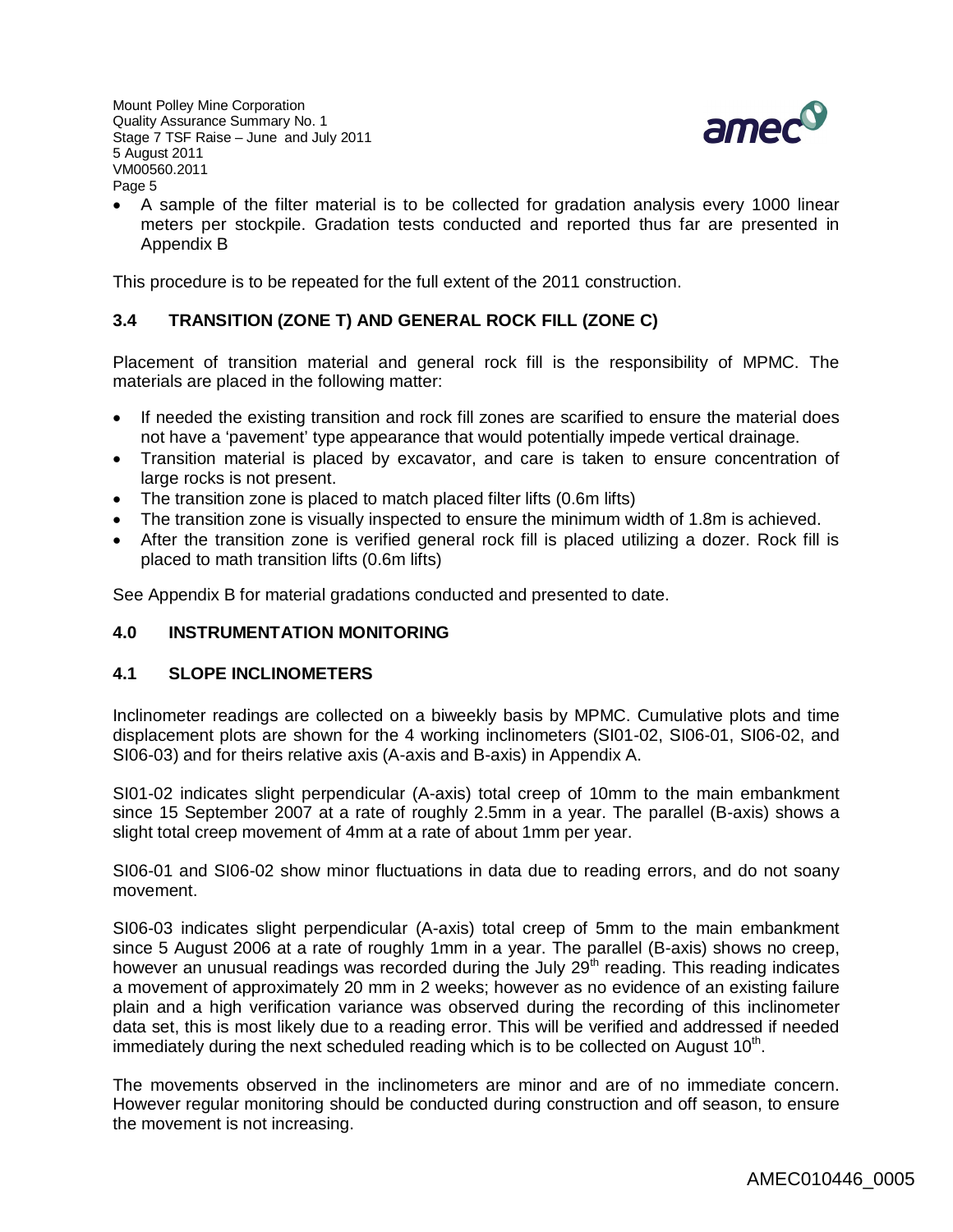

 A sample of the filter material is to be collected for gradation analysis every 1000 linear meters per stockpile. Gradation tests conducted and reported thus far are presented in Appendix B

This procedure is to be repeated for the full extent of the 2011 construction.

# **3.4 TRANSITION (ZONE T) AND GENERAL ROCK FILL (ZONE C)**

Placement of transition material and general rock fill is the responsibility of MPMC. The materials are placed in the following matter:

- If needed the existing transition and rock fill zones are scarified to ensure the material does not have a 'pavement' type appearance that would potentially impede vertical drainage.
- Transition material is placed by excavator, and care is taken to ensure concentration of large rocks is not present.
- The transition zone is placed to match placed filter lifts (0.6m lifts)
- The transition zone is visually inspected to ensure the minimum width of 1.8m is achieved.
- After the transition zone is verified general rock fill is placed utilizing a dozer. Rock fill is placed to math transition lifts (0.6m lifts)

See Appendix B for material gradations conducted and presented to date.

# **4.0 INSTRUMENTATION MONITORING**

# **4.1 SLOPE INCLINOMETERS**

Inclinometer readings are collected on a biweekly basis by MPMC. Cumulative plots and time displacement plots are shown for the 4 working inclinometers (SI01-02, SI06-01, SI06-02, and SI06-03) and for theirs relative axis (A-axis and B-axis) in Appendix A.

SI01-02 indicates slight perpendicular (A-axis) total creep of 10mm to the main embankment since 15 September 2007 at a rate of roughly 2.5mm in a year. The parallel (B-axis) shows a slight total creep movement of 4mm at a rate of about 1mm per year.

SI06-01 and SI06-02 show minor fluctuations in data due to reading errors, and do not soany movement.

SI06-03 indicates slight perpendicular (A-axis) total creep of 5mm to the main embankment since 5 August 2006 at a rate of roughly 1mm in a year. The parallel (B-axis) shows no creep, however an unusual readings was recorded during the July  $29<sup>th</sup>$  reading. This reading indicates a movement of approximately 20 mm in 2 weeks; however as no evidence of an existing failure plain and a high verification variance was observed during the recording of this inclinometer data set, this is most likely due to a reading error. This will be verified and addressed if needed immediately during the next scheduled reading which is to be collected on August 10<sup>th</sup>.

The movements observed in the inclinometers are minor and are of no immediate concern. However regular monitoring should be conducted during construction and off season, to ensure the movement is not increasing.